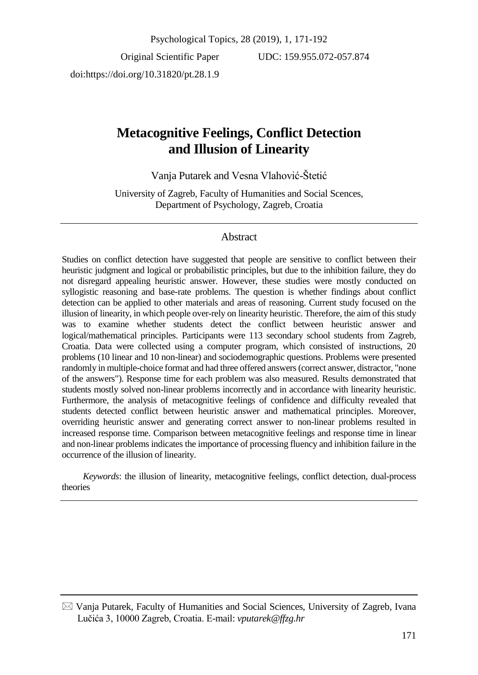Original Scientific Paper doi:https://doi.org/10.31820/pt.28.1.9

UDC: 159.955.072-057.874

# **Metacognitive Feelings, Conflict Detection and Illusion of Linearity**

Vanja Putarek and Vesna Vlahović-Štetić

University of Zagreb, Faculty of Humanities and Social Scences, Department of Psychology, Zagreb, Croatia

# Abstract

Studies on conflict detection have suggested that people are sensitive to conflict between their heuristic judgment and logical or probabilistic principles, but due to the inhibition failure, they do not disregard appealing heuristic answer. However, these studies were mostly conducted on syllogistic reasoning and base-rate problems. The question is whether findings about conflict detection can be applied to other materials and areas of reasoning. Current study focused on the illusion of linearity, in which people over-rely on linearity heuristic. Therefore, the aim of this study was to examine whether students detect the conflict between heuristic answer and logical/mathematical principles. Participants were 113 secondary school students from Zagreb, Croatia. Data were collected using a computer program, which consisted of instructions, 20 problems (10 linear and 10 non-linear) and sociodemographic questions. Problems were presented randomly in multiple-choice format and had three offered answers (correct answer, distractor, "none of the answers"). Response time for each problem was also measured. Results demonstrated that students mostly solved non-linear problems incorrectly and in accordance with linearity heuristic. Furthermore, the analysis of metacognitive feelings of confidence and difficulty revealed that students detected conflict between heuristic answer and mathematical principles. Moreover, overriding heuristic answer and generating correct answer to non-linear problems resulted in increased response time. Comparison between metacognitive feelings and response time in linear and non-linear problemsindicates the importance of processing fluency and inhibition failure in the occurrence of the illusion of linearity.

*Keywords*: the illusion of linearity, metacognitive feelings, conflict detection, dual-process theories

 $\boxtimes$  Vanja Putarek, Faculty of Humanities and Social Sciences, University of Zagreb, Ivana Lučića 3, 10000 Zagreb, Croatia. E-mail: *vputarek@ffzg.hr*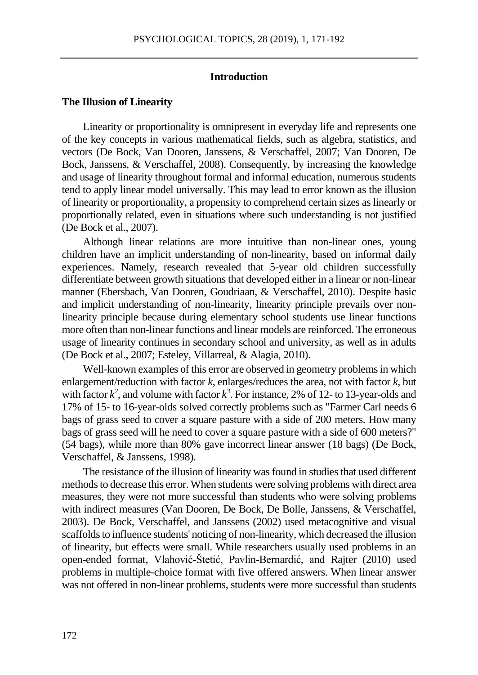# **Introduction**

#### **The Illusion of Linearity**

Linearity or proportionality is omnipresent in everyday life and represents one of the key concepts in various mathematical fields, such as algebra, statistics, and vectors (De Bock, Van Dooren, Janssens, & Verschaffel, 2007; Van Dooren, De Bock, Janssens, & Verschaffel, 2008). Consequently, by increasing the knowledge and usage of linearity throughout formal and informal education, numerous students tend to apply linear model universally. This may lead to error known as the illusion of linearity or proportionality, a propensity to comprehend certain sizes as linearly or proportionally related, even in situations where such understanding is not justified (De Bock et al., 2007).

Although linear relations are more intuitive than non-linear ones, young children have an implicit understanding of non-linearity, based on informal daily experiences. Namely, research revealed that 5-year old children successfully differentiate between growth situations that developed either in a linear or non-linear manner (Ebersbach, Van Dooren, Goudriaan, & Verschaffel, 2010). Despite basic and implicit understanding of non-linearity, linearity principle prevails over nonlinearity principle because during elementary school students use linear functions more often than non-linear functions and linear models are reinforced. The erroneous usage of linearity continues in secondary school and university, as well as in adults (De Bock et al., 2007; Esteley, Villarreal, & Alagia, 2010).

Well-known examples of this error are observed in geometry problems in which enlargement/reduction with factor *k*, enlarges/reduces the area, not with factor *k*, but with factor  $k^2$ , and volume with factor  $k^3$ . For instance, 2% of 12- to 13-year-olds and 17% of 15- to 16-year-olds solved correctly problems such as "Farmer Carl needs 6 bags of grass seed to cover a square pasture with a side of 200 meters. How many bags of grass seed will he need to cover a square pasture with a side of 600 meters?" (54 bags), while more than 80% gave incorrect linear answer (18 bags) (De Bock, Verschaffel, & Janssens, 1998).

The resistance of the illusion of linearity was found in studies that used different methods to decrease this error. When students were solving problems with direct area measures, they were not more successful than students who were solving problems with indirect measures (Van Dooren, De Bock, De Bolle, Janssens, & Verschaffel, 2003). De Bock, Verschaffel, and Janssens (2002) used metacognitive and visual scaffolds to influence students' noticing of non-linearity, which decreased the illusion of linearity, but effects were small. While researchers usually used problems in an open-ended format, Vlahović-Štetić, Pavlin-Bernardić, and Rajter (2010) used problems in multiple-choice format with five offered answers. When linear answer was not offered in non-linear problems, students were more successful than students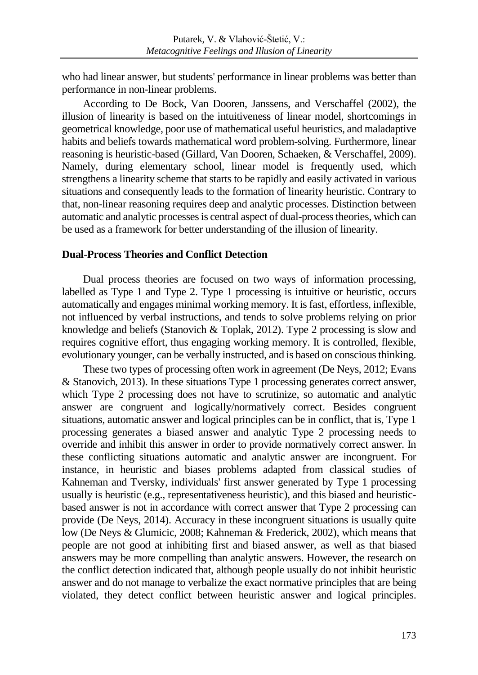who had linear answer, but students' performance in linear problems was better than performance in non-linear problems.

According to De Bock, Van Dooren, Janssens, and Verschaffel (2002), the illusion of linearity is based on the intuitiveness of linear model, shortcomings in geometrical knowledge, poor use of mathematical useful heuristics, and maladaptive habits and beliefs towards mathematical word problem-solving. Furthermore, linear reasoning is heuristic-based (Gillard, Van Dooren, Schaeken, & Verschaffel, 2009). Namely, during elementary school, linear model is frequently used, which strengthens a linearity scheme that starts to be rapidly and easily activated in various situations and consequently leads to the formation of linearity heuristic. Contrary to that, non-linear reasoning requires deep and analytic processes. Distinction between automatic and analytic processes is central aspect of dual-process theories, which can be used as a framework for better understanding of the illusion of linearity.

# **Dual-Process Theories and Conflict Detection**

Dual process theories are focused on two ways of information processing, labelled as Type 1 and Type 2. Type 1 processing is intuitive or heuristic, occurs automatically and engages minimal working memory. It is fast, effortless, inflexible, not influenced by verbal instructions, and tends to solve problems relying on prior knowledge and beliefs (Stanovich & Toplak, 2012). Type 2 processing is slow and requires cognitive effort, thus engaging working memory. It is controlled, flexible, evolutionary younger, can be verbally instructed, and is based on conscious thinking.

These two types of processing often work in agreement (De Neys, 2012; Evans & Stanovich, 2013). In these situations Type 1 processing generates correct answer, which Type 2 processing does not have to scrutinize, so automatic and analytic answer are congruent and logically/normatively correct. Besides congruent situations, automatic answer and logical principles can be in conflict, that is, Type 1 processing generates a biased answer and analytic Type 2 processing needs to override and inhibit this answer in order to provide normatively correct answer. In these conflicting situations automatic and analytic answer are incongruent. For instance, in heuristic and biases problems adapted from classical studies of Kahneman and Tversky, individuals' first answer generated by Type 1 processing usually is heuristic (e.g., representativeness heuristic), and this biased and heuristicbased answer is not in accordance with correct answer that Type 2 processing can provide (De Neys, 2014). Accuracy in these incongruent situations is usually quite low (De Neys & Glumicic, 2008; Kahneman & Frederick, 2002), which means that people are not good at inhibiting first and biased answer, as well as that biased answers may be more compelling than analytic answers. However, the research on the conflict detection indicated that, although people usually do not inhibit heuristic answer and do not manage to verbalize the exact normative principles that are being violated, they detect conflict between heuristic answer and logical principles.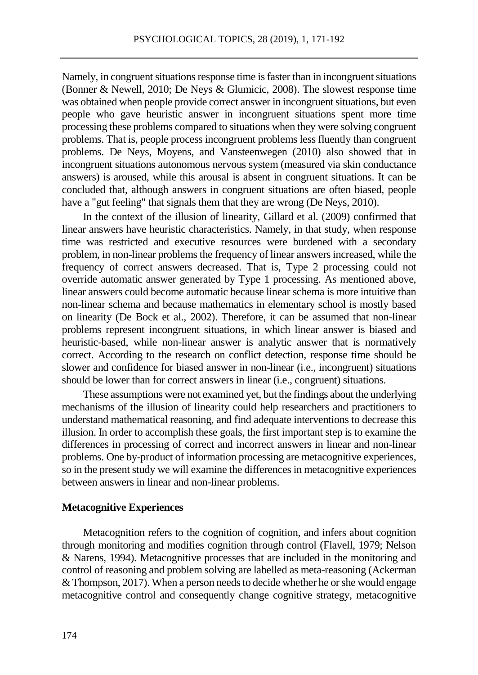Namely, in congruent situations response time is faster than in incongruent situations (Bonner & Newell, 2010; De Neys & Glumicic, 2008). The slowest response time was obtained when people provide correct answer in incongruent situations, but even people who gave heuristic answer in incongruent situations spent more time processing these problems compared to situations when they were solving congruent problems. That is, people process incongruent problems less fluently than congruent problems. De Neys, Moyens, and Vansteenwegen (2010) also showed that in incongruent situations autonomous nervous system (measured via skin conductance answers) is aroused, while this arousal is absent in congruent situations. It can be concluded that, although answers in congruent situations are often biased, people have a "gut feeling" that signals them that they are wrong (De Neys, 2010).

In the context of the illusion of linearity, Gillard et al. (2009) confirmed that linear answers have heuristic characteristics. Namely, in that study, when response time was restricted and executive resources were burdened with a secondary problem, in non-linear problems the frequency of linear answers increased, while the frequency of correct answers decreased. That is, Type 2 processing could not override automatic answer generated by Type 1 processing. As mentioned above, linear answers could become automatic because linear schema is more intuitive than non-linear schema and because mathematics in elementary school is mostly based on linearity (De Bock et al., 2002). Therefore, it can be assumed that non-linear problems represent incongruent situations, in which linear answer is biased and heuristic-based, while non-linear answer is analytic answer that is normatively correct. According to the research on conflict detection, response time should be slower and confidence for biased answer in non-linear (i.e., incongruent) situations should be lower than for correct answers in linear (i.e., congruent) situations.

These assumptions were not examined yet, but the findings about the underlying mechanisms of the illusion of linearity could help researchers and practitioners to understand mathematical reasoning, and find adequate interventions to decrease this illusion. In order to accomplish these goals, the first important step is to examine the differences in processing of correct and incorrect answers in linear and non-linear problems. One by-product of information processing are metacognitive experiences, so in the present study we will examine the differences in metacognitive experiences between answers in linear and non-linear problems.

#### **Metacognitive Experiences**

Metacognition refers to the cognition of cognition, and infers about cognition through monitoring and modifies cognition through control (Flavell, 1979; Nelson & Narens, 1994). Metacognitive processes that are included in the monitoring and control of reasoning and problem solving are labelled as meta-reasoning (Ackerman & Thompson, 2017). When a person needs to decide whether he or she would engage metacognitive control and consequently change cognitive strategy, metacognitive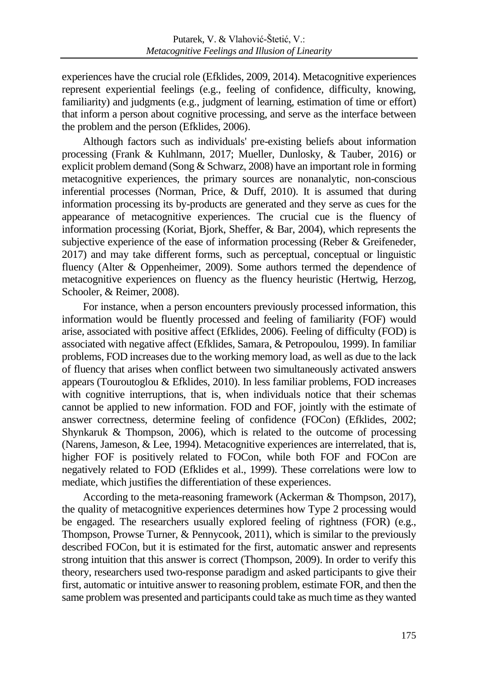experiences have the crucial role (Efklides, 2009, 2014). Metacognitive experiences represent experiential feelings (e.g., feeling of confidence, difficulty, knowing, familiarity) and judgments (e.g., judgment of learning, estimation of time or effort) that inform a person about cognitive processing, and serve as the interface between the problem and the person (Efklides, 2006).

Although factors such as individuals' pre-existing beliefs about information processing (Frank & Kuhlmann, 2017; Mueller, Dunlosky, & Tauber, 2016) or explicit problem demand (Song & Schwarz, 2008) have an important role in forming metacognitive experiences, the primary sources are nonanalytic, non-conscious inferential processes (Norman, Price, & Duff, 2010). It is assumed that during information processing its by-products are generated and they serve as cues for the appearance of metacognitive experiences. The crucial cue is the fluency of information processing (Koriat, Bjork, Sheffer, & Bar, 2004), which represents the subjective experience of the ease of information processing (Reber & Greifeneder, 2017) and may take different forms, such as perceptual, conceptual or linguistic fluency (Alter & Oppenheimer, 2009). Some authors termed the dependence of metacognitive experiences on fluency as the fluency heuristic (Hertwig, Herzog, Schooler, & Reimer, 2008).

For instance, when a person encounters previously processed information, this information would be fluently processed and feeling of familiarity (FOF) would arise, associated with positive affect (Efklides, 2006). Feeling of difficulty (FOD) is associated with negative affect (Efklides, Samara, & Petropoulou, 1999). In familiar problems, FOD increases due to the working memory load, as well as due to the lack of fluency that arises when conflict between two simultaneously activated answers appears (Touroutoglou & Efklides, 2010). In less familiar problems, FOD increases with cognitive interruptions, that is, when individuals notice that their schemas cannot be applied to new information. FOD and FOF, jointly with the estimate of answer correctness, determine feeling of confidence (FOCon) (Efklides, 2002; Shynkaruk & Thompson, 2006), which is related to the outcome of processing (Narens, Jameson, & Lee, 1994). Metacognitive experiences are interrelated, that is, higher FOF is positively related to FOCon, while both FOF and FOCon are negatively related to FOD (Efklides et al., 1999). These correlations were low to mediate, which justifies the differentiation of these experiences.

According to the meta-reasoning framework (Ackerman & Thompson, 2017), the quality of metacognitive experiences determines how Type 2 processing would be engaged. The researchers usually explored feeling of rightness (FOR) (e.g., Thompson, Prowse Turner, & Pennycook, 2011), which is similar to the previously described FOCon, but it is estimated for the first, automatic answer and represents strong intuition that this answer is correct (Thompson, 2009). In order to verify this theory, researchers used two-response paradigm and asked participants to give their first, automatic or intuitive answer to reasoning problem, estimate FOR, and then the same problem was presented and participants could take as much time as they wanted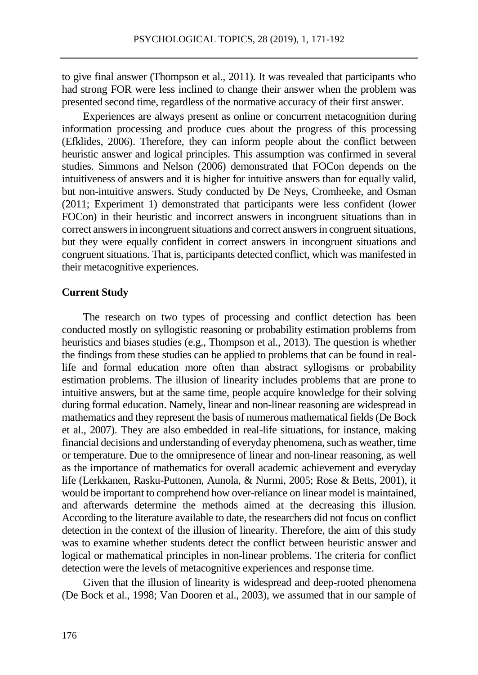to give final answer (Thompson et al., 2011). It was revealed that participants who had strong FOR were less inclined to change their answer when the problem was presented second time, regardless of the normative accuracy of their first answer.

Experiences are always present as online or concurrent metacognition during information processing and produce cues about the progress of this processing (Efklides, 2006). Therefore, they can inform people about the conflict between heuristic answer and logical principles. This assumption was confirmed in several studies. Simmons and Nelson (2006) demonstrated that FOCon depends on the intuitiveness of answers and it is higher for intuitive answers than for equally valid, but non-intuitive answers. Study conducted by De Neys, Cromheeke, and Osman (2011; Experiment 1) demonstrated that participants were less confident (lower FOCon) in their heuristic and incorrect answers in incongruent situations than in correct answers in incongruent situations and correct answers in congruent situations, but they were equally confident in correct answers in incongruent situations and congruent situations. That is, participants detected conflict, which was manifested in their metacognitive experiences.

#### **Current Study**

The research on two types of processing and conflict detection has been conducted mostly on syllogistic reasoning or probability estimation problems from heuristics and biases studies (e.g., Thompson et al., 2013). The question is whether the findings from these studies can be applied to problems that can be found in reallife and formal education more often than abstract syllogisms or probability estimation problems. The illusion of linearity includes problems that are prone to intuitive answers, but at the same time, people acquire knowledge for their solving during formal education. Namely, linear and non-linear reasoning are widespread in mathematics and they represent the basis of numerous mathematical fields (De Bock et al., 2007). They are also embedded in real-life situations, for instance, making financial decisions and understanding of everyday phenomena, such as weather, time or temperature. Due to the omnipresence of linear and non-linear reasoning, as well as the importance of mathematics for overall academic achievement and everyday life (Lerkkanen, Rasku-Puttonen, Aunola, & Nurmi, 2005; Rose & Betts, 2001), it would be important to comprehend how over-reliance on linear model is maintained, and afterwards determine the methods aimed at the decreasing this illusion. According to the literature available to date, the researchers did not focus on conflict detection in the context of the illusion of linearity. Therefore, the aim of this study was to examine whether students detect the conflict between heuristic answer and logical or mathematical principles in non-linear problems. The criteria for conflict detection were the levels of metacognitive experiences and response time.

Given that the illusion of linearity is widespread and deep-rooted phenomena (De Bock et al., 1998; Van Dooren et al., 2003), we assumed that in our sample of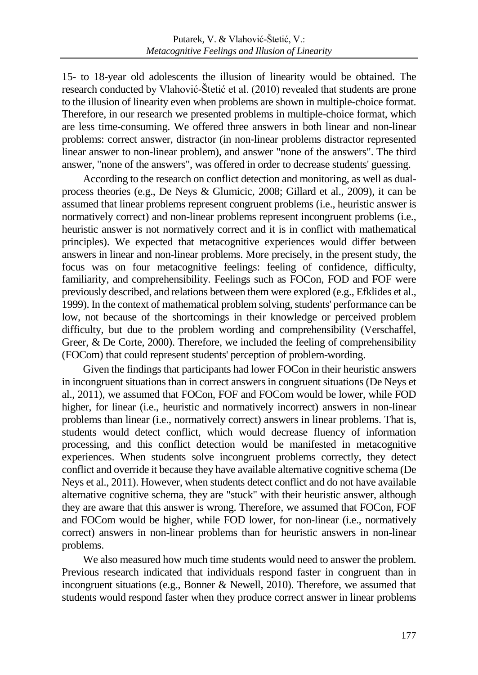15- to 18-year old adolescents the illusion of linearity would be obtained. The research conducted by Vlahović-Štetić et al. (2010) revealed that students are prone to the illusion of linearity even when problems are shown in multiple-choice format. Therefore, in our research we presented problems in multiple-choice format, which are less time-consuming. We offered three answers in both linear and non-linear problems: correct answer, distractor (in non-linear problems distractor represented linear answer to non-linear problem), and answer "none of the answers". The third answer, "none of the answers", was offered in order to decrease students' guessing.

According to the research on conflict detection and monitoring, as well as dualprocess theories (e.g., De Neys & Glumicic, 2008; Gillard et al., 2009), it can be assumed that linear problems represent congruent problems (i.e., heuristic answer is normatively correct) and non-linear problems represent incongruent problems (i.e., heuristic answer is not normatively correct and it is in conflict with mathematical principles). We expected that metacognitive experiences would differ between answers in linear and non-linear problems. More precisely, in the present study, the focus was on four metacognitive feelings: feeling of confidence, difficulty, familiarity, and comprehensibility. Feelings such as FOCon, FOD and FOF were previously described, and relations between them were explored (e.g., Efklides et al., 1999). In the context of mathematical problem solving, students' performance can be low, not because of the shortcomings in their knowledge or perceived problem difficulty, but due to the problem wording and comprehensibility (Verschaffel, Greer, & De Corte, 2000). Therefore, we included the feeling of comprehensibility (FOCom) that could represent students' perception of problem-wording.

Given the findings that participants had lower FOCon in their heuristic answers in incongruent situations than in correct answers in congruent situations (De Neys et al., 2011), we assumed that FOCon, FOF and FOCom would be lower, while FOD higher, for linear (i.e., heuristic and normatively incorrect) answers in non-linear problems than linear (i.e., normatively correct) answers in linear problems. That is, students would detect conflict, which would decrease fluency of information processing, and this conflict detection would be manifested in metacognitive experiences. When students solve incongruent problems correctly, they detect conflict and override it because they have available alternative cognitive schema (De Neys et al., 2011). However, when students detect conflict and do not have available alternative cognitive schema, they are "stuck" with their heuristic answer, although they are aware that this answer is wrong. Therefore, we assumed that FOCon, FOF and FOCom would be higher, while FOD lower, for non-linear (i.e., normatively correct) answers in non-linear problems than for heuristic answers in non-linear problems.

We also measured how much time students would need to answer the problem. Previous research indicated that individuals respond faster in congruent than in incongruent situations (e.g., Bonner & Newell, 2010). Therefore, we assumed that students would respond faster when they produce correct answer in linear problems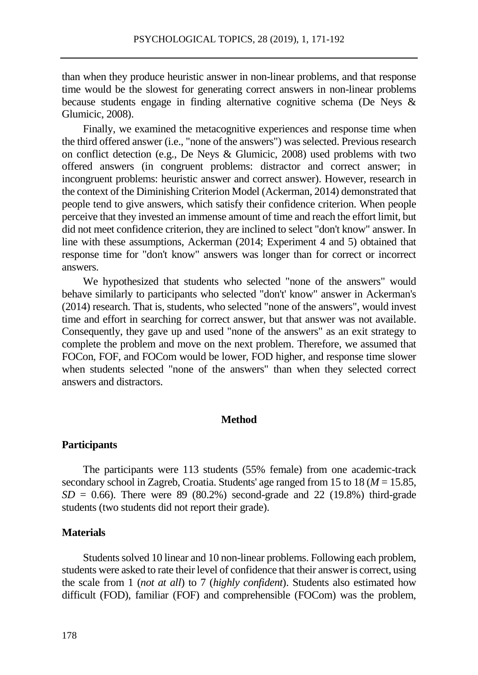than when they produce heuristic answer in non-linear problems, and that response time would be the slowest for generating correct answers in non-linear problems because students engage in finding alternative cognitive schema (De Neys & Glumicic, 2008).

Finally, we examined the metacognitive experiences and response time when the third offered answer (i.e., "none of the answers") was selected. Previous research on conflict detection (e.g., De Neys & Glumicic, 2008) used problems with two offered answers (in congruent problems: distractor and correct answer; in incongruent problems: heuristic answer and correct answer). However, research in the context of the Diminishing Criterion Model (Ackerman, 2014) demonstrated that people tend to give answers, which satisfy their confidence criterion. When people perceive that they invested an immense amount of time and reach the effort limit, but did not meet confidence criterion, they are inclined to select "don't know" answer. In line with these assumptions, Ackerman (2014; Experiment 4 and 5) obtained that response time for "don't know" answers was longer than for correct or incorrect answers.

We hypothesized that students who selected "none of the answers" would behave similarly to participants who selected "don't' know" answer in Ackerman's (2014) research. That is, students, who selected "none of the answers", would invest time and effort in searching for correct answer, but that answer was not available. Consequently, they gave up and used "none of the answers" as an exit strategy to complete the problem and move on the next problem. Therefore, we assumed that FOCon, FOF, and FOCom would be lower, FOD higher, and response time slower when students selected "none of the answers" than when they selected correct answers and distractors.

# **Method**

#### **Participants**

The participants were 113 students (55% female) from one academic-track secondary school in Zagreb, Croatia. Students' age ranged from 15 to 18 (*M* = 15.85,  $SD = 0.66$ ). There were 89 (80.2%) second-grade and 22 (19.8%) third-grade students (two students did not report their grade).

# **Materials**

Students solved 10 linear and 10 non-linear problems. Following each problem, students were asked to rate their level of confidence that their answer is correct, using the scale from 1 (*not at all*) to 7 (*highly confident*). Students also estimated how difficult (FOD), familiar (FOF) and comprehensible (FOCom) was the problem,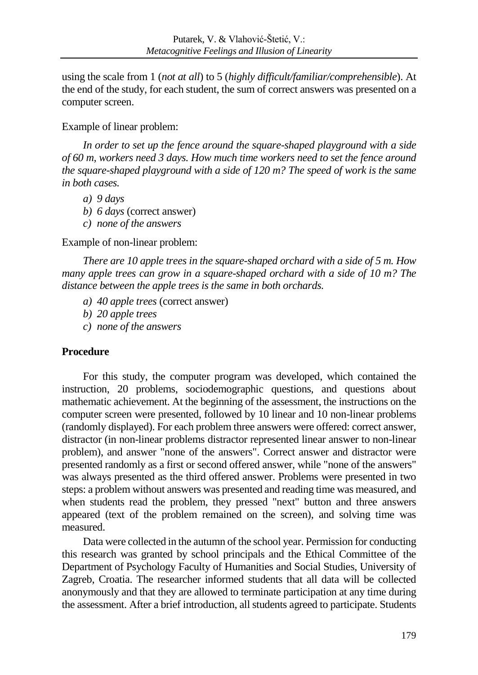using the scale from 1 (*not at all*) to 5 (*highly difficult/familiar/comprehensible*). At the end of the study, for each student, the sum of correct answers was presented on a computer screen.

Example of linear problem:

*In order to set up the fence around the square-shaped playground with a side of 60 m, workers need 3 days. How much time workers need to set the fence around the square-shaped playground with a side of 120 m? The speed of work is the same in both cases.*

- *a) 9 days*
- *b) 6 days* (correct answer)
- *c) none of the answers*

Example of non-linear problem:

*There are 10 apple trees in the square-shaped orchard with a side of 5 m. How many apple trees can grow in a square-shaped orchard with a side of 10 m? The distance between the apple trees is the same in both orchards.*

- *a) 40 apple trees* (correct answer)
- *b) 20 apple trees*
- *c) none of the answers*

# **Procedure**

For this study, the computer program was developed, which contained the instruction, 20 problems, sociodemographic questions, and questions about mathematic achievement. At the beginning of the assessment, the instructions on the computer screen were presented, followed by 10 linear and 10 non-linear problems (randomly displayed). For each problem three answers were offered: correct answer, distractor (in non-linear problems distractor represented linear answer to non-linear problem), and answer "none of the answers". Correct answer and distractor were presented randomly as a first or second offered answer, while "none of the answers" was always presented as the third offered answer. Problems were presented in two steps: a problem without answers was presented and reading time was measured, and when students read the problem, they pressed "next" button and three answers appeared (text of the problem remained on the screen), and solving time was measured.

Data were collected in the autumn of the school year. Permission for conducting this research was granted by school principals and the Ethical Committee of the Department of Psychology Faculty of Humanities and Social Studies, University of Zagreb, Croatia. The researcher informed students that all data will be collected anonymously and that they are allowed to terminate participation at any time during the assessment. After a brief introduction, all students agreed to participate. Students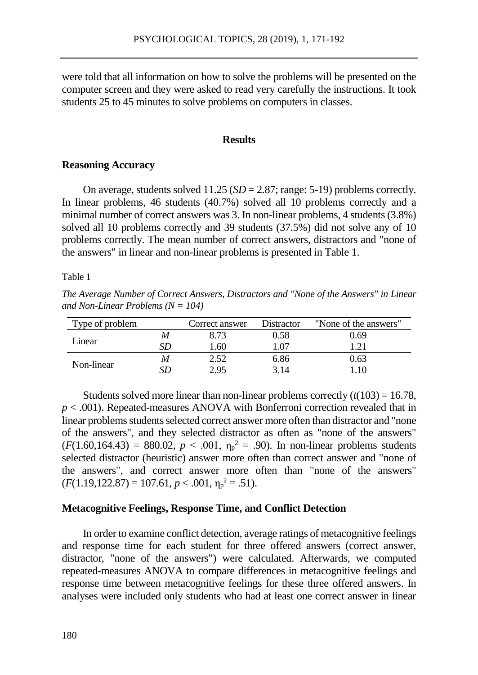were told that all information on how to solve the problems will be presented on the computer screen and they were asked to read very carefully the instructions. It took students 25 to 45 minutes to solve problems on computers in classes.

#### **Results**

#### **Reasoning Accuracy**

On average, students solved 11.25 (*SD* = 2.87; range: 5-19) problems correctly. In linear problems, 46 students (40.7%) solved all 10 problems correctly and a minimal number of correct answers was 3. In non-linear problems, 4 students (3.8%) solved all 10 problems correctly and 39 students (37.5%) did not solve any of 10 problems correctly. The mean number of correct answers, distractors and "none of the answers" in linear and non-linear problems is presented in Table 1.

Table 1

*The Average Number of Correct Answers, Distractors and "None of the Answers" in Linear and Non-Linear Problems (N = 104)*

| Type of problem | Correct answer | Distractor | "None of the answers" |
|-----------------|----------------|------------|-----------------------|
| Linear          | 8.73           | 0.58       | 0.69                  |
|                 | 1.60           | $\pm 07$   |                       |
| Non-linear      | 2.52           | 6.86       | 0.63                  |
|                 | 2.95           | 3 I A      | 10                    |

Students solved more linear than non-linear problems correctly  $(t(103) = 16.78$ , *p* < .001). Repeated-measures ANOVA with Bonferroni correction revealed that in linear problems students selected correct answer more often than distractor and "none of the answers", and they selected distractor as often as "none of the answers"  $(F(1.60, 164.43) = 880.02, p < .001, \eta_p^2 = .90)$ . In non-linear problems students selected distractor (heuristic) answer more often than correct answer and "none of the answers", and correct answer more often than "none of the answers"  $(F(1.19, 122.87) = 107.61, p < .001, \eta_p^2 = .51).$ 

#### **Metacognitive Feelings, Response Time, and Conflict Detection**

In order to examine conflict detection, average ratings of metacognitive feelings and response time for each student for three offered answers (correct answer, distractor, "none of the answers") were calculated. Afterwards, we computed repeated-measures ANOVA to compare differences in metacognitive feelings and response time between metacognitive feelings for these three offered answers. In analyses were included only students who had at least one correct answer in linear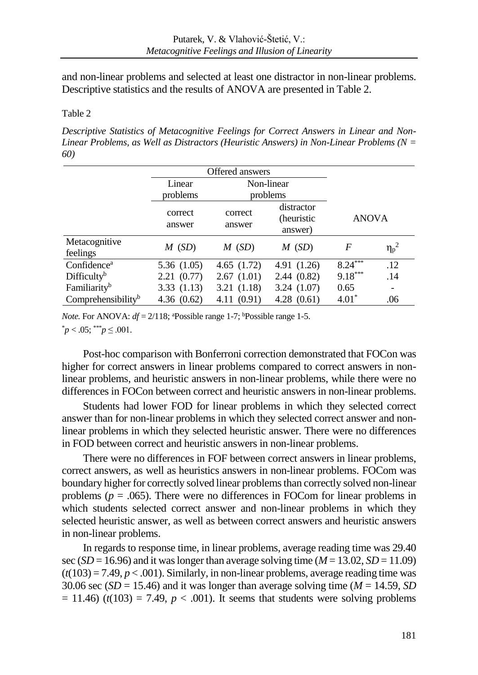and non-linear problems and selected at least one distractor in non-linear problems. Descriptive statistics and the results of ANOVA are presented in Table 2.

# Table 2

*Descriptive Statistics of Metacognitive Feelings for Correct Answers in Linear and Non-Linear Problems, as Well as Distractors (Heuristic Answers) in Non-Linear Problems (N = 60)*

|                                | Offered answers    |                   |                                      |              |                  |
|--------------------------------|--------------------|-------------------|--------------------------------------|--------------|------------------|
|                                | Linear<br>problems |                   | Non-linear<br>problems               |              |                  |
|                                | correct<br>answer  | correct<br>answer | distractor<br>(heuristic)<br>answer) | <b>ANOVA</b> |                  |
| Metacognitive<br>feelings      | $M$ (SD)           | $M$ (SD)          | $M$ (SD)                             | F            | $\eta_{\rm p}^2$ |
| Confidence <sup>a</sup>        | 5.36(1.05)         | 4.65(1.72)        | 4.91 (1.26)                          | $8.24***$    | .12              |
| Difficulty <sup>b</sup>        | 2.21(0.77)         | 2.67(1.01)        | 2.44(0.82)                           | $9.18***$    | .14              |
| Familiarity <sup>b</sup>       | 3.33(1.13)         | 3.21 (1.18)       | 3.24(1.07)                           | 0.65         |                  |
| Comprehensibility <sup>b</sup> | 4.36 $(0.62)$      | 4.11(0.91)        | 4.28(0.61)                           | $4.01*$      | .06              |

*Note.* For ANOVA:  $df = 2/118$ ; <sup>a</sup>Possible range 1-7; <sup>b</sup>Possible range 1-5.

 $p < .05;$  \*\*\**p*  $\leq .001$ .

Post-hoc comparison with Bonferroni correction demonstrated that FOCon was higher for correct answers in linear problems compared to correct answers in nonlinear problems, and heuristic answers in non-linear problems, while there were no differences in FOCon between correct and heuristic answers in non-linear problems.

Students had lower FOD for linear problems in which they selected correct answer than for non-linear problems in which they selected correct answer and nonlinear problems in which they selected heuristic answer. There were no differences in FOD between correct and heuristic answers in non-linear problems.

There were no differences in FOF between correct answers in linear problems, correct answers, as well as heuristics answers in non-linear problems. FOCom was boundary higher for correctly solved linear problems than correctly solved non-linear problems ( $p = .065$ ). There were no differences in FOCom for linear problems in which students selected correct answer and non-linear problems in which they selected heuristic answer, as well as between correct answers and heuristic answers in non-linear problems.

In regards to response time, in linear problems, average reading time was 29.40 sec ( $SD = 16.96$ ) and it was longer than average solving time ( $M = 13.02$ ,  $SD = 11.09$ )  $(t(103) = 7.49, p < .001)$ . Similarly, in non-linear problems, average reading time was 30.06 sec ( $SD = 15.46$ ) and it was longer than average solving time ( $M = 14.59$ , *SD*  $= 11.46$ ) ( $t(103) = 7.49$ ,  $p < .001$ ). It seems that students were solving problems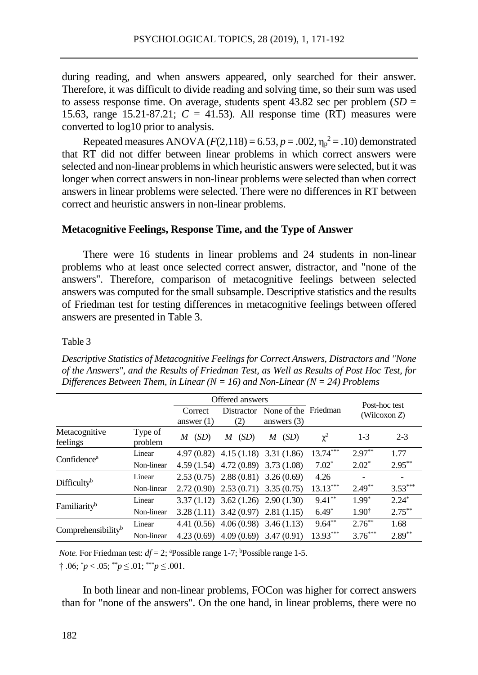during reading, and when answers appeared, only searched for their answer. Therefore, it was difficult to divide reading and solving time, so their sum was used to assess response time. On average, students spent  $43.82$  sec per problem  $(SD =$ 15.63, range 15.21-87.21;  $C = 41.53$ ). All response time (RT) measures were converted to log10 prior to analysis.

Repeated measures ANOVA ( $F(2,118) = 6.53$ ,  $p = .002$ ,  $\eta_p^2 = .10$ ) demonstrated that RT did not differ between linear problems in which correct answers were selected and non-linear problems in which heuristic answers were selected, but it was longer when correct answers in non-linear problems were selected than when correct answers in linear problems were selected. There were no differences in RT between correct and heuristic answers in non-linear problems.

# **Metacognitive Feelings, Response Time, and the Type of Answer**

There were 16 students in linear problems and 24 students in non-linear problems who at least once selected correct answer, distractor, and "none of the answers". Therefore, comparison of metacognitive feelings between selected answers was computed for the small subsample. Descriptive statistics and the results of Friedman test for testing differences in metacognitive feelings between offered answers are presented in Table 3.

Table 3

*Descriptive Statistics of Metacognitive Feelings for Correct Answers, Distractors and "None of the Answers", and the Results of Friedman Test, as Well as Results of Post Hoc Test, for Differences Between Them, in Linear (N = 16) and Non-Linear (N = 24) Problems*

|                                |                    | Offered answers         |           |                                                  |            | Post-hoc test    |           |
|--------------------------------|--------------------|-------------------------|-----------|--------------------------------------------------|------------|------------------|-----------|
|                                |                    | Correct<br>answer $(1)$ | (2)       | Distractor None of the Friedman<br>answers $(3)$ |            | (Wilcoxon $Z$ )  |           |
| Metacognitive<br>feelings      | Type of<br>problem | (SD)<br>M               | (SD)<br>M | (SD)<br>M                                        | $\chi^2$   | $1-3$            | $2 - 3$   |
| Confidence <sup>a</sup>        | Linear             |                         |           | $4.97(0.82)$ $4.15(1.18)$ $3.31(1.86)$           | 13.74***   | $2.97***$        | 1.77      |
|                                | Non-linear         |                         |           | $4.59(1.54)$ $4.72(0.89)$ $3.73(1.08)$           | $7.02*$    | $2.02*$          | $2.95***$ |
| Difficulty <sup>b</sup>        | Linear             |                         |           | $2.53(0.75)$ $2.88(0.81)$ $3.26(0.69)$           | 4.26       |                  |           |
|                                | Non-linear         |                         |           | $2.72(0.90)$ $2.53(0.71)$ $3.35(0.75)$           | $13.13***$ | $2.49***$        | $3.53***$ |
| Familiarity <sup>b</sup>       | Linear             |                         |           | $3.37(1.12)$ $3.62(1.26)$ $2.90(1.30)$           | $9.41***$  | $1.99*$          | $2.24*$   |
|                                | Non-linear         |                         |           | $3.28(1.11)$ $3.42(0.97)$ $2.81(1.15)$           | $6.49*$    | $1.90^{\dagger}$ | $2.75***$ |
| Comprehensibility <sup>b</sup> | Linear             |                         |           | $4.41(0.56)$ $4.06(0.98)$ $3.46(1.13)$           | $9.64***$  | $2.76***$        | 1.68      |
|                                | Non-linear         |                         |           | $4.23(0.69)$ $4.09(0.69)$ $3.47(0.91)$           | $13.93***$ | $3.76***$        | $2.89***$ |

*Note.* For Friedman test:  $df = 2$ ; <sup>a</sup>Possible range 1-7; <sup>b</sup>Possible range 1-5.  $\dagger$  .06;  $\ddot{p}$  < .05;  $\ddot{p}$   $\leq$  .01;  $\ddot{p}$   $\leq$  .001.

In both linear and non-linear problems, FOCon was higher for correct answers than for "none of the answers". On the one hand, in linear problems, there were no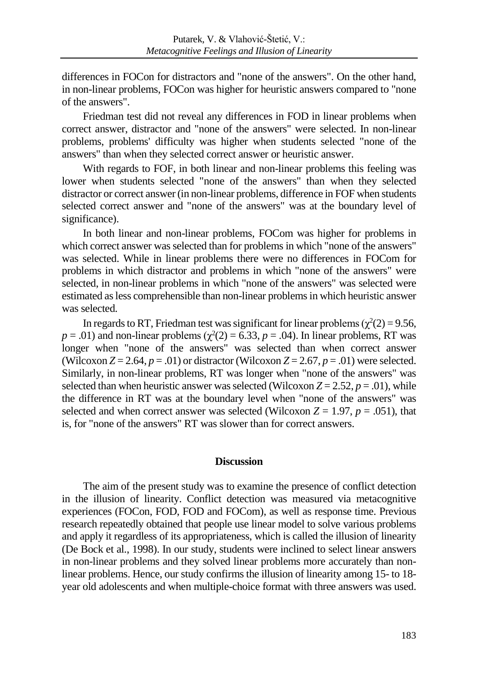differences in FOCon for distractors and "none of the answers". On the other hand, in non-linear problems, FOCon was higher for heuristic answers compared to "none of the answers".

Friedman test did not reveal any differences in FOD in linear problems when correct answer, distractor and "none of the answers" were selected. In non-linear problems, problems' difficulty was higher when students selected "none of the answers" than when they selected correct answer or heuristic answer.

With regards to FOF, in both linear and non-linear problems this feeling was lower when students selected "none of the answers" than when they selected distractor or correct answer (in non-linear problems, difference in FOF when students selected correct answer and "none of the answers" was at the boundary level of significance).

In both linear and non-linear problems, FOCom was higher for problems in which correct answer was selected than for problems in which "none of the answers" was selected. While in linear problems there were no differences in FOCom for problems in which distractor and problems in which "none of the answers" were selected, in non-linear problems in which "none of the answers" was selected were estimated as less comprehensible than non-linear problems in which heuristic answer was selected.

In regards to RT, Friedman test was significant for linear problems  $(\chi^2(2) = 9.56,$  $p = .01$ ) and non-linear problems ( $\chi^2(2) = 6.33$ ,  $p = .04$ ). In linear problems, RT was longer when "none of the answers" was selected than when correct answer (Wilcoxon  $Z = 2.64$ ,  $p = .01$ ) or distractor (Wilcoxon  $Z = 2.67$ ,  $p = .01$ ) were selected. Similarly, in non-linear problems, RT was longer when "none of the answers" was selected than when heuristic answer was selected (Wilcoxon  $Z = 2.52$ ,  $p = .01$ ), while the difference in RT was at the boundary level when "none of the answers" was selected and when correct answer was selected (Wilcoxon  $Z = 1.97$ ,  $p = .051$ ), that is, for "none of the answers" RT was slower than for correct answers.

#### **Discussion**

The aim of the present study was to examine the presence of conflict detection in the illusion of linearity. Conflict detection was measured via metacognitive experiences (FOCon, FOD, FOD and FOCom), as well as response time. Previous research repeatedly obtained that people use linear model to solve various problems and apply it regardless of its appropriateness, which is called the illusion of linearity (De Bock et al., 1998). In our study, students were inclined to select linear answers in non-linear problems and they solved linear problems more accurately than nonlinear problems. Hence, our study confirms the illusion of linearity among 15- to 18 year old adolescents and when multiple-choice format with three answers was used.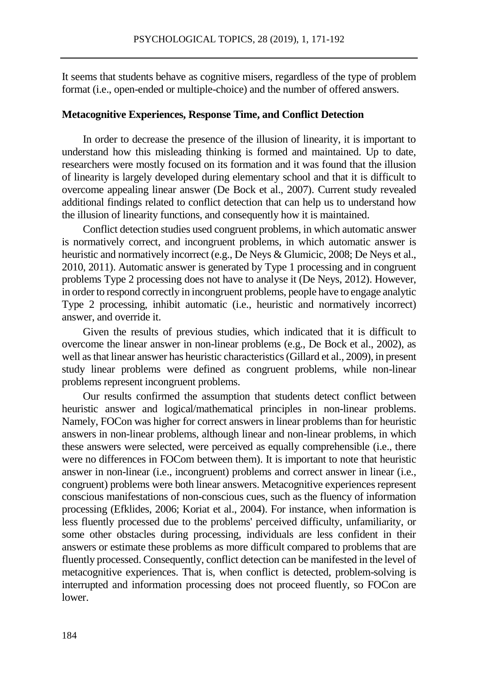It seems that students behave as cognitive misers, regardless of the type of problem format (i.e., open-ended or multiple-choice) and the number of offered answers.

# **Metacognitive Experiences, Response Time, and Conflict Detection**

In order to decrease the presence of the illusion of linearity, it is important to understand how this misleading thinking is formed and maintained. Up to date, researchers were mostly focused on its formation and it was found that the illusion of linearity is largely developed during elementary school and that it is difficult to overcome appealing linear answer (De Bock et al., 2007). Current study revealed additional findings related to conflict detection that can help us to understand how the illusion of linearity functions, and consequently how it is maintained.

Conflict detection studies used congruent problems, in which automatic answer is normatively correct, and incongruent problems, in which automatic answer is heuristic and normatively incorrect (e.g., De Neys & Glumicic, 2008; De Neys et al., 2010, 2011). Automatic answer is generated by Type 1 processing and in congruent problems Type 2 processing does not have to analyse it (De Neys, 2012). However, in order to respond correctly in incongruent problems, people have to engage analytic Type 2 processing, inhibit automatic (i.e., heuristic and normatively incorrect) answer, and override it.

Given the results of previous studies, which indicated that it is difficult to overcome the linear answer in non-linear problems (e.g., De Bock et al., 2002), as well as that linear answer has heuristic characteristics (Gillard et al., 2009), in present study linear problems were defined as congruent problems, while non-linear problems represent incongruent problems.

Our results confirmed the assumption that students detect conflict between heuristic answer and logical/mathematical principles in non-linear problems. Namely, FOCon was higher for correct answers in linear problems than for heuristic answers in non-linear problems, although linear and non-linear problems, in which these answers were selected, were perceived as equally comprehensible (i.e., there were no differences in FOCom between them). It is important to note that heuristic answer in non-linear (i.e., incongruent) problems and correct answer in linear (i.e., congruent) problems were both linear answers. Metacognitive experiences represent conscious manifestations of non-conscious cues, such as the fluency of information processing (Efklides, 2006; Koriat et al., 2004). For instance, when information is less fluently processed due to the problems' perceived difficulty, unfamiliarity, or some other obstacles during processing, individuals are less confident in their answers or estimate these problems as more difficult compared to problems that are fluently processed. Consequently, conflict detection can be manifested in the level of metacognitive experiences. That is, when conflict is detected, problem-solving is interrupted and information processing does not proceed fluently, so FOCon are lower.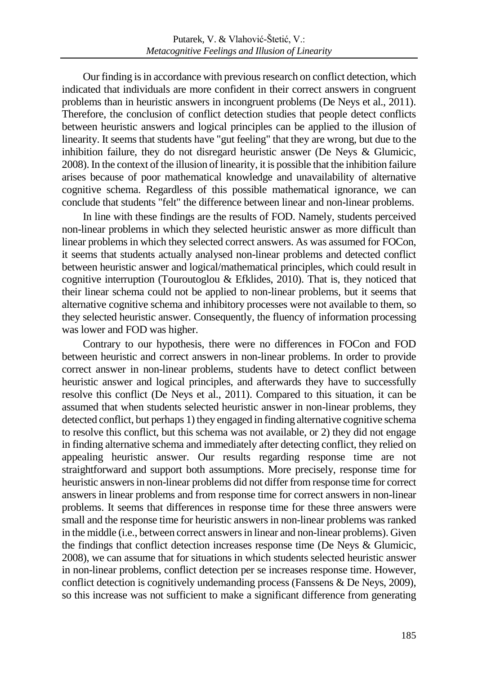Our finding is in accordance with previous research on conflict detection, which indicated that individuals are more confident in their correct answers in congruent problems than in heuristic answers in incongruent problems (De Neys et al., 2011). Therefore, the conclusion of conflict detection studies that people detect conflicts between heuristic answers and logical principles can be applied to the illusion of linearity. It seems that students have "gut feeling" that they are wrong, but due to the inhibition failure, they do not disregard heuristic answer (De Neys & Glumicic, 2008). In the context of the illusion of linearity, it is possible that the inhibition failure arises because of poor mathematical knowledge and unavailability of alternative cognitive schema. Regardless of this possible mathematical ignorance, we can conclude that students "felt" the difference between linear and non-linear problems.

In line with these findings are the results of FOD. Namely, students perceived non-linear problems in which they selected heuristic answer as more difficult than linear problems in which they selected correct answers. As was assumed for FOCon, it seems that students actually analysed non-linear problems and detected conflict between heuristic answer and logical/mathematical principles, which could result in cognitive interruption (Touroutoglou & Efklides, 2010). That is, they noticed that their linear schema could not be applied to non-linear problems, but it seems that alternative cognitive schema and inhibitory processes were not available to them, so they selected heuristic answer. Consequently, the fluency of information processing was lower and FOD was higher.

Contrary to our hypothesis, there were no differences in FOCon and FOD between heuristic and correct answers in non-linear problems. In order to provide correct answer in non-linear problems, students have to detect conflict between heuristic answer and logical principles, and afterwards they have to successfully resolve this conflict (De Neys et al., 2011). Compared to this situation, it can be assumed that when students selected heuristic answer in non-linear problems, they detected conflict, but perhaps 1) they engaged in finding alternative cognitive schema to resolve this conflict, but this schema was not available, or 2) they did not engage in finding alternative schema and immediately after detecting conflict, they relied on appealing heuristic answer. Our results regarding response time are not straightforward and support both assumptions. More precisely, response time for heuristic answers in non-linear problems did not differ from response time for correct answers in linear problems and from response time for correct answers in non-linear problems. It seems that differences in response time for these three answers were small and the response time for heuristic answers in non-linear problems was ranked in the middle (i.e., between correct answers in linear and non-linear problems). Given the findings that conflict detection increases response time (De Neys & Glumicic, 2008), we can assume that for situations in which students selected heuristic answer in non-linear problems, conflict detection per se increases response time. However, conflict detection is cognitively undemanding process (Fanssens & De Neys, 2009), so this increase was not sufficient to make a significant difference from generating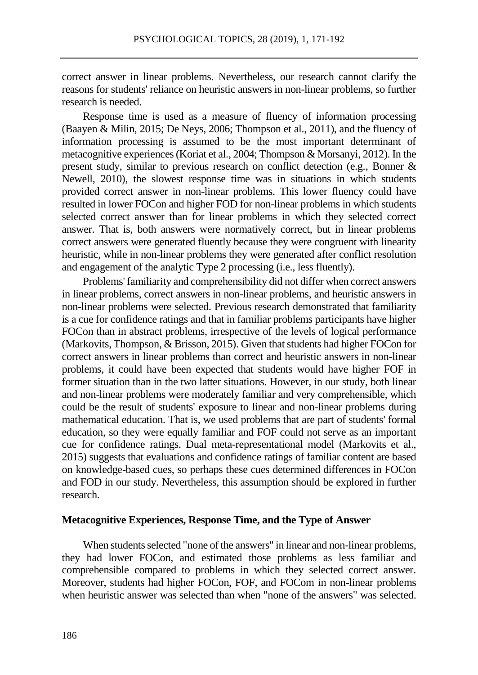correct answer in linear problems. Nevertheless, our research cannot clarify the reasons for students' reliance on heuristic answers in non-linear problems, so further research is needed.

Response time is used as a measure of fluency of information processing (Baayen & Milin, 2015; De Neys, 2006; Thompson et al., 2011), and the fluency of information processing is assumed to be the most important determinant of metacognitive experiences (Koriat et al., 2004; Thompson & Morsanyi, 2012). In the present study, similar to previous research on conflict detection (e.g., Bonner & Newell, 2010), the slowest response time was in situations in which students provided correct answer in non-linear problems. This lower fluency could have resulted in lower FOCon and higher FOD for non-linear problems in which students selected correct answer than for linear problems in which they selected correct answer. That is, both answers were normatively correct, but in linear problems correct answers were generated fluently because they were congruent with linearity heuristic, while in non-linear problems they were generated after conflict resolution and engagement of the analytic Type 2 processing (i.e., less fluently).

Problems' familiarity and comprehensibility did not differ when correct answers in linear problems, correct answers in non-linear problems, and heuristic answers in non-linear problems were selected. Previous research demonstrated that familiarity is a cue for confidence ratings and that in familiar problems participants have higher FOCon than in abstract problems, irrespective of the levels of logical performance (Markovits, Thompson, & Brisson, 2015). Given that students had higher FOCon for correct answers in linear problems than correct and heuristic answers in non-linear problems, it could have been expected that students would have higher FOF in former situation than in the two latter situations. However, in our study, both linear and non-linear problems were moderately familiar and very comprehensible, which could be the result of students' exposure to linear and non-linear problems during mathematical education. That is, we used problems that are part of students' formal education, so they were equally familiar and FOF could not serve as an important cue for confidence ratings. Dual meta-representational model (Markovits et al., 2015) suggests that evaluations and confidence ratings of familiar content are based on knowledge-based cues, so perhaps these cues determined differences in FOCon and FOD in our study. Nevertheless, this assumption should be explored in further research.

# **Metacognitive Experiences, Response Time, and the Type of Answer**

When students selected "none of the answers" in linear and non-linear problems, they had lower FOCon, and estimated those problems as less familiar and comprehensible compared to problems in which they selected correct answer. Moreover, students had higher FOCon, FOF, and FOCom in non-linear problems when heuristic answer was selected than when "none of the answers" was selected.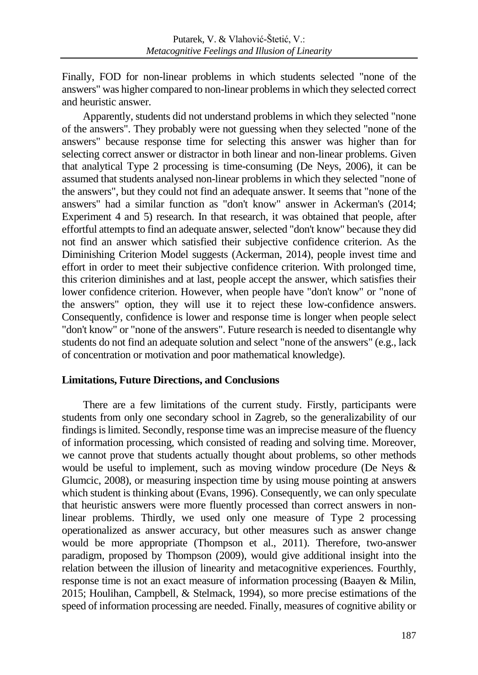Finally, FOD for non-linear problems in which students selected "none of the answers" was higher compared to non-linear problems in which they selected correct and heuristic answer.

Apparently, students did not understand problems in which they selected "none of the answers". They probably were not guessing when they selected "none of the answers" because response time for selecting this answer was higher than for selecting correct answer or distractor in both linear and non-linear problems. Given that analytical Type 2 processing is time-consuming (De Neys, 2006), it can be assumed that students analysed non-linear problems in which they selected "none of the answers", but they could not find an adequate answer. It seems that "none of the answers" had a similar function as "don't know" answer in Ackerman's (2014; Experiment 4 and 5) research. In that research, it was obtained that people, after effortful attempts to find an adequate answer, selected "don't know" because they did not find an answer which satisfied their subjective confidence criterion. As the Diminishing Criterion Model suggests (Ackerman, 2014), people invest time and effort in order to meet their subjective confidence criterion. With prolonged time, this criterion diminishes and at last, people accept the answer, which satisfies their lower confidence criterion. However, when people have "don't know" or "none of the answers" option, they will use it to reject these low-confidence answers. Consequently, confidence is lower and response time is longer when people select "don't know" or "none of the answers". Future research is needed to disentangle why students do not find an adequate solution and select "none of the answers" (e.g., lack of concentration or motivation and poor mathematical knowledge).

# **Limitations, Future Directions, and Conclusions**

There are a few limitations of the current study. Firstly, participants were students from only one secondary school in Zagreb, so the generalizability of our findings is limited. Secondly, response time was an imprecise measure of the fluency of information processing, which consisted of reading and solving time. Moreover, we cannot prove that students actually thought about problems, so other methods would be useful to implement, such as moving window procedure (De Neys & Glumcic, 2008), or measuring inspection time by using mouse pointing at answers which student is thinking about (Evans, 1996). Consequently, we can only speculate that heuristic answers were more fluently processed than correct answers in nonlinear problems. Thirdly, we used only one measure of Type 2 processing operationalized as answer accuracy, but other measures such as answer change would be more appropriate (Thompson et al., 2011). Therefore, two-answer paradigm, proposed by Thompson (2009), would give additional insight into the relation between the illusion of linearity and metacognitive experiences. Fourthly, response time is not an exact measure of information processing (Baayen & Milin, 2015; Houlihan, Campbell, & Stelmack, 1994), so more precise estimations of the speed of information processing are needed. Finally, measures of cognitive ability or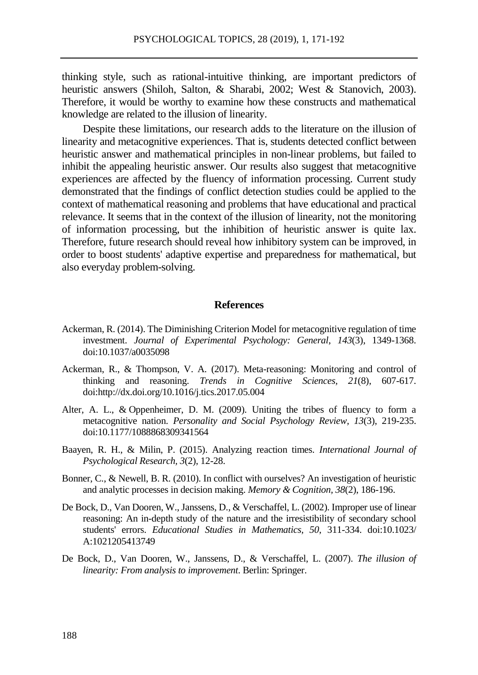thinking style, such as rational-intuitive thinking, are important predictors of heuristic answers (Shiloh, Salton, & Sharabi, 2002; West & Stanovich, 2003). Therefore, it would be worthy to examine how these constructs and mathematical knowledge are related to the illusion of linearity.

Despite these limitations, our research adds to the literature on the illusion of linearity and metacognitive experiences. That is, students detected conflict between heuristic answer and mathematical principles in non-linear problems, but failed to inhibit the appealing heuristic answer. Our results also suggest that metacognitive experiences are affected by the fluency of information processing. Current study demonstrated that the findings of conflict detection studies could be applied to the context of mathematical reasoning and problems that have educational and practical relevance. It seems that in the context of the illusion of linearity, not the monitoring of information processing, but the inhibition of heuristic answer is quite lax. Therefore, future research should reveal how inhibitory system can be improved, in order to boost students' adaptive expertise and preparedness for mathematical, but also everyday problem-solving.

#### **References**

- Ackerman, R. (2014). The Diminishing Criterion Model for metacognitive regulation of time investment. *Journal of Experimental Psychology: General*, *143*(3), 1349-1368. [doi:10.1037/a0035098](http://dx.doi.org/10.1037/a0035098)
- Ackerman, R., & Thompson, V. A. (2017). Meta-reasoning: Monitoring and control of thinking and reasoning. *Trends in Cognitive Sciences, 21*(8), 607-617. doi:http://dx.doi.org/10.1016/j.tics.2017.05.004
- Alter, A. L., & [Oppenheimer,](http://journals.sagepub.com/doi/abs/10.1177/1088868309341564) D. M. (2009). Uniting the tribes of fluency to form a metacognitive nation. *Personality and Social Psychology Review, 13*(3), 219-235. doi:10.1177/1088868309341564
- Baayen, R. H., & Milin, P. (2015). Analyzing reaction times. *International Journal of Psychological Research, 3*(2), 12-28.
- Bonner, C., & Newell, B. R. (2010). In conflict with ourselves? An investigation of heuristic and analytic processes in decision making. *Memory & Cognition, 38*(2), 186-196.
- De Bock, D., Van Dooren, W., Janssens, D., & Verschaffel, L. (2002). Improper use of linear reasoning: An in-depth study of the nature and the irresistibility of secondary school students' errors. *Educational Studies in Mathematics, 50*, 311-334. doi:10.1023/ A:1021205413749
- De Bock, D., Van Dooren, W., Janssens, D., & Verschaffel, L. (2007). *The illusion of linearity: From analysis to improvement*. Berlin: Springer.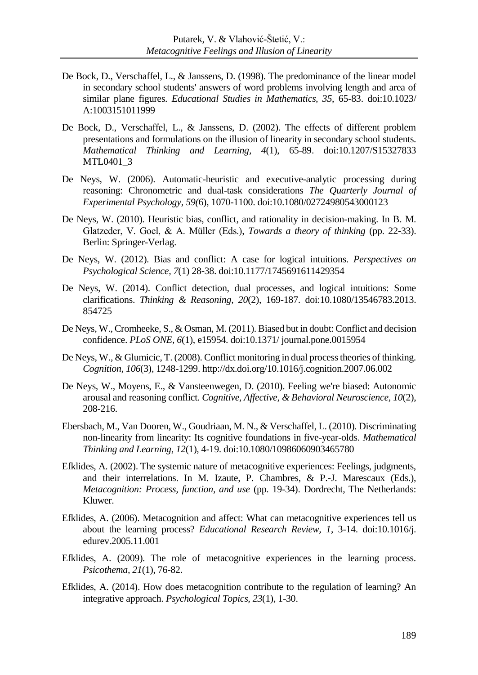- De Bock, D., Verschaffel, L., & Janssens, D. (1998). The predominance of the linear model in secondary school students' answers of word problems involving length and area of similar plane figures. *Educational Studies in Mathematics, 35*, 65-83. doi:10.1023/ A:1003151011999
- De Bock, D., Verschaffel, L., & Janssens, D. (2002). The effects of different problem presentations and formulations on the illusion of linearity in secondary school students. *Mathematical Thinking and Learning, 4*(1), 65-89. doi:10.1207/S15327833 MTL0401\_3
- De Neys, W. (2006). Automatic-heuristic and executive-analytic processing during reasoning: Chronometric and dual-task considerations *The Quarterly Journal of Experimental Psychology, 59(*6), 1070-1100. doi:10.1080/02724980543000123
- De Neys, W. (2010). Heuristic bias, conflict, and rationality in decision-making. In B. M. Glatzeder, V. Goel, & A. Müller (Eds.), *Towards a theory of thinking* (pp. 22-33). Berlin: Springer-Verlag.
- De Neys, W. (2012). Bias and conflict: A case for logical intuitions. *Perspectives on Psychological Science, 7*(1) 28-38. doi:10.1177/1745691611429354
- De Neys, W. (2014). Conflict detection, dual processes, and logical intuitions: Some clarifications. *Thinking & Reasoning, 20*(2), 169-187. doi:10.1080/13546783.2013. 854725
- De Neys, W., Cromheeke, S., & Osman, M. (2011). Biased but in doubt: Conflict and decision confidence. *PLoS ONE, 6*(1), e15954. doi:10.1371/ journal.pone.0015954
- De Neys, W., & Glumicic, T. (2008). Conflict monitoring in dual process theories of thinking. *Cognition, 106*(3), 1248-1299. <http://dx.doi.org/10.1016/j.cognition.2007.06.002>
- De Neys, W., Moyens, E., & Vansteenwegen, D. (2010). Feeling we're biased: Autonomic arousal and reasoning conflict. *Cognitive, Affective, & Behavioral Neuroscience, 10*(2), 208-216.
- Ebersbach, M., Van Dooren, W., Goudriaan, M. N., & Verschaffel, L. (2010). Discriminating non-linearity from linearity: Its cognitive foundations in five-year-olds. *Mathematical Thinking and Learning, 12*(1), 4-19. doi:10.1080/10986060903465780
- Efklides, A. (2002). The systemic nature of metacognitive experiences: Feelings, judgments, and their interrelations. In M. Izaute, P. Chambres, & P.-J. Marescaux (Eds.), *Metacognition: Process, function, and use* (pp. 19-34). Dordrecht, The Netherlands: Kluwer.
- Efklides, A. (2006). Metacognition and affect: What can metacognitive experiences tell us about the learning process? *Educational Research Review, 1*, 3-14. doi:10.1016/j. edurev.2005.11.001
- Efklides, A. (2009). The role of metacognitive experiences in the learning process. *Psicothema, 21*(1), 76-82.
- Efklides, A. (2014). How does metacognition contribute to the regulation of learning? An integrative approach. *Psychological Topics, 23*(1), 1-30.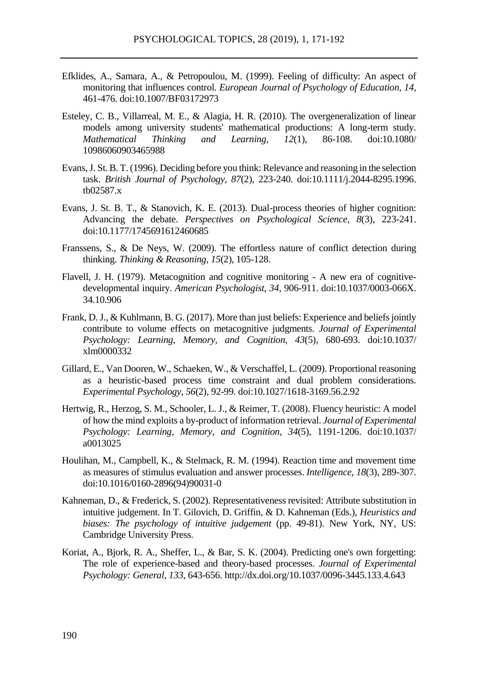- Efklides, A., Samara, A., & Petropoulou, M. (1999). Feeling of difficulty: An aspect of monitoring that influences control. *European Journal of Psychology of Education, 14*, 461-476. doi:10.1007/BF03172973
- Esteley, C. B., Villarreal, M. E., & Alagia, H. R. (2010). The overgeneralization of linear models among university students' mathematical productions: A long-term study.<br> *Mathematical Thinking and Learning*, 12(1), 86-108, doi:10.1080/ *Mathematical* 10986060903465988
- Evans, J. St. B. T. (1996). Deciding before you think: Relevance and reasoning in the selection task. *British Journal of Psychology, 87*(2), 223-240. doi:10.1111/j.2044-8295.1996. tb02587.x
- Evans, J. St. B. T., & Stanovich, K. E. (2013). Dual-process theories of higher cognition: Advancing the debate. *Perspectives on Psychological Science, 8*(3), 223-241. doi:10.1177/1745691612460685
- Franssens, S., & De Neys, W. (2009). The effortless nature of conflict detection during thinking. *Thinking & Reasoning, 15*(2), 105-128.
- Flavell, J. H. (1979). Metacognition and cognitive monitoring A new era of cognitivedevelopmental inquiry. *American Psychologist, 34*, 906-911. doi:10.1037/0003-066X. 34.10.906
- Frank, D. J., & Kuhlmann, B. G. (2017). More than just beliefs: Experience and beliefs jointly contribute to volume effects on metacognitive judgments. *Journal of Experimental Psychology: Learning, Memory, and Cognition, 43*(5), 680-693. doi:10.1037/ xlm0000332
- Gillard, E., Van Dooren, W., Schaeken, W., & Verschaffel, L. (2009). Proportional reasoning as a heuristic-based process time constraint and dual problem considerations. *Experimental Psychology, 56*(2), 92-99. doi:10.1027/1618-3169.56.2.92
- Hertwig, R., Herzog, S. M., Schooler, L. J., & Reimer, T. (2008). Fluency heuristic: A model of how the mind exploits a by-product of information retrieval. *Journal of Experimental Psychology: Learning, Memory, and Cognition, 34*(5), 1191-1206. doi:10.1037/ a0013025
- Houlihan, M., Campbell, K., & Stelmack, R. M. (1994). Reaction time and movement time as measures of stimulus evaluation and answer processes. *Intelligence, 18*(3), 289-307. doi:10.1016/0160-2896(94)90031-0
- Kahneman, D., & Frederick, S. (2002). Representativeness revisited: Attribute substitution in intuitive judgement. In T. Gilovich, D. Griffin, & D. Kahneman (Eds.), *Heuristics and biases: The psychology of intuitive judgement* (pp. 49-81). New York, NY, US: Cambridge University Press.
- Koriat, A., Bjork, R. A., Sheffer, L., & Bar, S. K. (2004). Predicting one's own forgetting: The role of experience-based and theory-based processes. *Journal of Experimental Psychology: General, 133*, 643-656. http://dx.doi.org/10.1037/0096-3445.133.4.643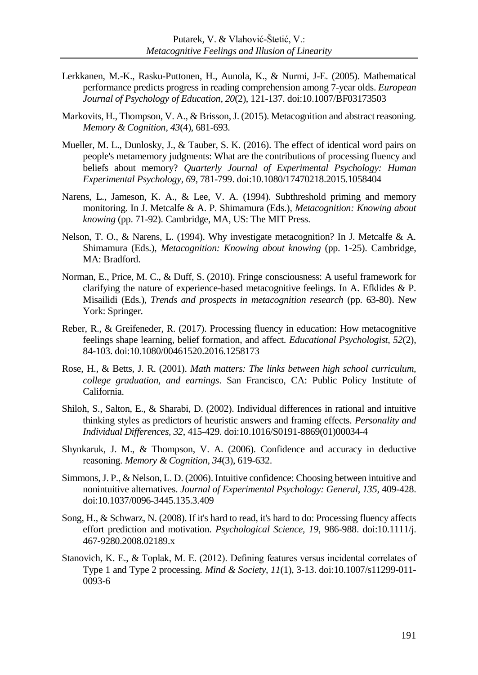- Lerkkanen, M.-K., Rasku-Puttonen, H., Aunola, K., & Nurmi, J-E. (2005). Mathematical performance predicts progress in reading comprehension among 7-year olds. *European Journal of Psychology of Education, 20*(2), 121-137. doi:10.1007/BF03173503
- Markovits, H., Thompson, V. A., & Brisson, J. (2015). Metacognition and abstract reasoning. *Memory & Cognition*, *43*(4), 681-693.
- Mueller, M. L., Dunlosky, J., & Tauber, S. K. (2016). The effect of identical word pairs on people's metamemory judgments: What are the contributions of processing fluency and beliefs about memory? *Quarterly Journal of Experimental Psychology: Human Experimental Psychology, 69*, 781-799. doi:10.1080/17470218.2015.1058404
- Narens, L., Jameson, K. A., & Lee, V. A. (1994). Subthreshold priming and memory monitoring. In J. Metcalfe & A. P. Shimamura (Eds.), *Metacognition: Knowing about knowing* (pp. 71-92). Cambridge, MA, US: The MIT Press.
- Nelson, T. O., & Narens, L. (1994). Why investigate metacognition? In J. Metcalfe & A. Shimamura (Eds.), *Metacognition: Knowing about knowing* (pp. 1-25). Cambridge, MA: Bradford.
- Norman, E., Price, M. C., & Duff, S. (2010). Fringe consciousness: A useful framework for clarifying the nature of experience-based metacognitive feelings. In A. Efklides & P. Misailidi (Eds.), *Trends and prospects in metacognition research* (pp. 63-80). New York: Springer.
- Reber, R., & Greifeneder, R. (2017). Processing fluency in education: How metacognitive feelings shape learning, belief formation, and affect. *Educational Psychologist, 52*(2), 84-103. doi:10.1080/00461520.2016.1258173
- Rose, H., & Betts, J. R. (2001). *Math matters: The links between high school curriculum, college graduation, and earnings*. San Francisco, CA: Public Policy Institute of California.
- Shiloh, S., Salton, E., & Sharabi, D. (2002). Individual differences in rational and intuitive thinking styles as predictors of heuristic answers and framing effects. *Personality and Individual Differences, 32*, 415-429. doi:10.1016/S0191-8869(01)00034-4
- Shynkaruk, J. M., & Thompson, V. A. (2006). Confidence and accuracy in deductive reasoning. *Memory & Cognition, 34*(3), 619-632.
- Simmons, J. P., & Nelson, L. D. (2006). Intuitive confidence: Choosing between intuitive and nonintuitive alternatives. *Journal of Experimental Psychology: General, 135*, 409-428. do[i:10.1037/0096-3445.135.3.409](https://doi.org/10.1037/0096-3445.135.3.409)
- Song, H., & Schwarz, N. (2008). If it's hard to read, it's hard to do: Processing fluency affects effort prediction and motivation. *Psychological Science, 19*, 986-988. doi:10.1111/j. 467-9280.2008.02189.x
- Stanovich, K. E., & Toplak, M. E. (2012). Defining features versus incidental correlates of Type 1 and Type 2 processing. *Mind & Society, 11*(1), 3-13. doi:10.1007/s11299-011- 0093-6